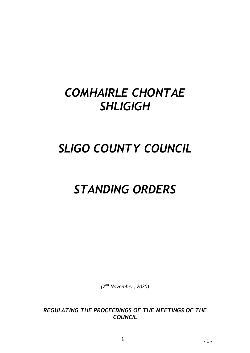## *COMHAIRLE CHONTAE SHLIGIGH*

# *SLIGO COUNTY COUNCIL*

## *STANDING ORDERS*

*(2 nd November, 2020)*

*REGULATING THE PROCEEDINGS OF THE MEETINGS OF THE COUNCIL*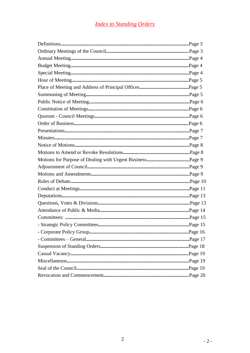## **Index to Standing Orders**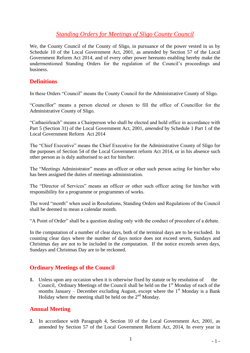## *Standing Orders for Meetings of Sligo County Council*

We, the County Council of the County of Sligo, in pursuance of the power vested in us by Schedule 10 of the Local Government Act, 2001, as amended by Section 57 of the Local Government Reform Act 2014, and of every other power hereunto enabling hereby make the undermentioned Standing Orders for the regulation of the Council's proceedings and business.

#### **Definitions**

In these Orders "Council" means the County Council for the Administrative County of Sligo.

"Councillor" means a person elected or chosen to fill the office of Councillor for the Administrative County of Sligo.

"Cathaoirleach" means a Chairperson who shall be elected and hold office in accordance with Part 5 (Section 31) of the Local Government Act, 2001, *amended* by Schedule 1 Part 1 of the Local Government Reform Act 2014

The "Chief Executive" means the Chief Executive for the Administrative County of Sligo for the purposes of Section 54 of the Local Government reform Act 2014, or in his absence such other person as is duly authorised to act for him/her.

The "Meetings Administrator" means an officer or other such person acting for him/her who has been assigned the duties of meetings administration.

The "Director of Services" means an officer or other such officer acting for him/her with responsibility for a programme or programmes of works.

The word "month" when used in Resolutions, Standing Orders and Regulations of the Council shall be deemed to mean a calendar month.

"A Point of Order" shall be a question dealing only with the conduct of procedure of a debate.

In the computation of a number of clear days, both of the terminal days are to be excluded. In counting clear days where the number of days notice does not exceed seven, Sundays and Christmas day are not to be included in the computation. If the notice exceeds seven days, Sundays and Christmas Day are to be reckoned.

#### **Ordinary Meetings of the Council**

**1.** Unless upon any occasion when it is otherwise fixed by statute or by resolution of the Council, Ordinary Meetings of the Council shall be held on the  $1<sup>st</sup>$  Monday of each of the months January – December excluding August, except where the  $1<sup>st</sup>$  Monday is a Bank Holiday where the meeting shall be held on the  $2<sup>nd</sup>$  Monday.

#### **Annual Meeting**

**2.** In accordance with Paragraph 4, Section 10 of the Local Government Act, 2001, as amended by Section 57 of the Local Government Reform Act, 2014, In every year in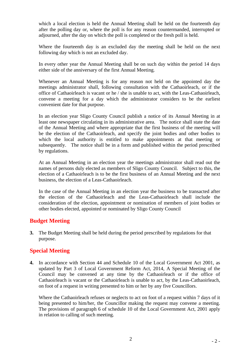which a local election is held the Annual Meeting shall be held on the fourteenth day after the polling day or, where the poll is for any reason countermanded, interrupted or adjourned, after the day on which the poll is completed or the fresh poll is held.

Where the fourteenth day is an excluded day the meeting shall be held on the next following day which is not an excluded day.

In every other year the Annual Meeting shall be on such day within the period 14 days either side of the anniversary of the first Annual Meeting.

Whenever an Annual Meeting is for any reason not held on the appointed day the meetings administrator shall, following consultation with the Cathaoirleach, or if the office of Cathaoirleach is vacant or he / she is unable to act, with the Leas-Cathaoirleach, convene a meeting for a day which the administrator considers to be the earliest convenient date for that purpose.

In an election year Sligo County Council publish a notice of its Annual Meeting in at least one newspaper circulating in its administrative area. The notice shall state the date of the Annual Meeting and where appropriate that the first business of the meeting will be the election of the Cathaoirleach, and specify the joint bodies and other bodies to which the local authority is entitled to make appointments at that meeting or subsequently. The notice shall be in a form and published within the period prescribed by regulations.

At an Annual Meeting in an election year the meetings administrator shall read out the names of persons duly elected as members of Sligo County Council. Subject to this, the election of a Cathaoirleach is to be the first business of an Annual Meeting and the next business, the election of a Leas-Cathaoirleach.

In the case of the Annual Meeting in an election year the business to be transacted after the election of the Cathaoirleach and the Leas-Cathaoirleach shall include the consideration of the election, appointment or nomination of members of joint bodies or other bodies elected, appointed or nominated by Sligo County Council

#### **Budget Meeting**

**3.** The Budget Meeting shall be held during the period prescribed by regulations for that purpose.

#### **Special Meeting**

**4.** In accordance with Section 44 and Schedule 10 of the Local Government Act 2001, as updated by Part 3 of Local Government Reform Act, 2014, A Special Meeting of the Council may be convened at any time by the Cathaoirleach or if the office of Cathaoirleach is vacant or the Cathaoirleach is unable to act, by the Leas-Cathaoirleach, on foot of a request in writing presented to him or her by any five Councillors.

Where the Cathaoirleach refuses or neglects to act on foot of a request within 7 days of it being presented to him/her, the Councillor making the request may convene a meeting. The provisions of paragraph 6 of schedule 10 of the Local Government Act, 2001 apply in relation to calling of such meeting.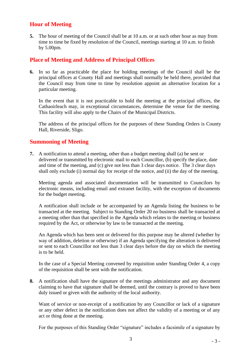### **Hour of Meeting**

**5.** The hour of meeting of the Council shall be at 10 a.m. or at such other hour as may from time to time be fixed by resolution of the Council, meetings starting at 10 a.m. to finish by 5.00pm.

#### **Place of Meeting and Address of Principal Offices**

**6.** In so far as practicable the place for holding meetings of the Council shall be the principal offices at County Hall and meetings shall normally be held there, provided that the Council may from time to time by resolution appoint an alternative location for a particular meeting.

In the event that it is not practicable to hold the meeting at the principal offices, the Cathaoirleach may, in exceptional circumstances, determine the venue for the meeting. This facility will also apply to the Chairs of the Municipal Districts.

The address of the principal offices for the purposes of these Standing Orders is County Hall, Riverside, Sligo.

#### **Summoning of Meeting**

**7.** A notification to attend a meeting, other than a budget meeting shall (a) be sent or delivered or transmitted by electronic mail to each Councillor, (b) specify the place, date and time of the meeting, and (c) give not less than 3 clear days notice. The 3 clear days shall only exclude (i) normal day for receipt of the notice, and (ii) the day of the meeting.

Meeting agenda and associated documentation will be transmitted to Councilors by electronic means, including email and extranet facility, with the exception of documents for the budget meeting.

A notification shall include or be accompanied by an Agenda listing the business to be transacted at the meeting. Subject to Standing Order 20 no business shall be transacted at a meeting other than that specified in the Agenda which relates to the meeting or business required by the Act, or otherwise by law to be transacted at the meeting.

An Agenda which has been sent or delivered for this purpose may be altered (whether by way of addition, deletion or otherwise) if an Agenda specifying the alteration is delivered or sent to each Councillor not less than 3 clear days before the day on which the meeting is to be held.

In the case of a Special Meeting convened by requisition under Standing Order 4, a copy of the requisition shall be sent with the notification.

**8.** A notification shall have the signature of the meetings administrator and any document claiming to have that signature shall be deemed, until the contrary is proved to have been duly issued or given with the authority of the local authority.

Want of service or non-receipt of a notification by any Councillor or lack of a signature or any other defect in the notification does not affect the validity of a meeting or of any act or thing done at the meeting.

For the purposes of this Standing Order "signature" includes a facsimile of a signature by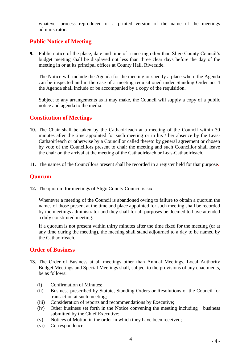whatever process reproduced or a printed version of the name of the meetings administrator.

## **Public Notice of Meeting**

**9.** Public notice of the place, date and time of a meeting other than Sligo County Council's budget meeting shall be displayed not less than three clear days before the day of the meeting in or at its principal offices at County Hall, Riverside.

The Notice will include the Agenda for the meeting or specify a place where the Agenda can be inspected and in the case of a meeting requisitioned under Standing Order no. 4 the Agenda shall include or be accompanied by a copy of the requisition.

Subject to any arrangements as it may make, the Council will supply a copy of a public notice and agenda to the media.

#### **Constitution of Meetings**

- **10.** The Chair shall be taken by the Cathaoirleach at a meeting of the Council within 30 minutes after the time appointed for such meeting or in his / her absence by the Leas-Cathaoirleach or otherwise by a Councillor called thereto by general agreement or chosen by vote of the Councillors present to chair the meeting and such Councillor shall leave the chair on the arrival at the meeting of the Cathaoirleach or Leas-Cathaoirleach.
- **11**. The names of the Councillors present shall be recorded in a register held for that purpose.

#### **Quorum**

**12.** The quorum for meetings of Sligo County Council is six

Whenever a meeting of the Council is abandoned owing to failure to obtain a quorum the names of those present at the time and place appointed for such meeting shall be recorded by the meetings administrator and they shall for all purposes be deemed to have attended a duly constituted meeting.

If a quorum is not present within thirty minutes after the time fixed for the meeting (or at any time during the meeting), the meeting shall stand adjourned to a day to be named by the Cathaoirleach.

#### **Order of Business**

- **13.** The Order of Business at all meetings other than Annual Meetings, Local Authority Budget Meetings and Special Meetings shall, subject to the provisions of any enactments, be as follows:
	- (i) Confirmation of Minutes;
	- (ii) Business prescribed by Statute, Standing Orders or Resolutions of the Council for transaction at such meeting;
	- (iii) Consideration of reports and recommendations by Executive;
	- (iv) Other business set forth in the Notice convening the meeting including business submitted by the Chief Executive;
	- (v) Notices of Motion in the order in which they have been received;
	- (vi) Correspondence;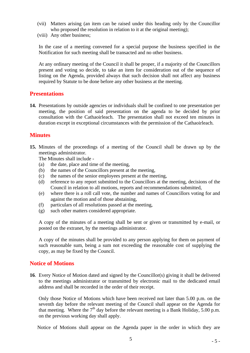- (vii) Matters arising (an item can be raised under this heading only by the Councillor who proposed the resolution in relation to it at the original meeting);
- (viii) Any other business;

In the case of a meeting convened for a special purpose the business specified in the Notification for such meeting shall be transacted and no other business.

At any ordinary meeting of the Council it shall be proper, if a majority of the Councillors present and voting so decide, to take an item for consideration out of the sequence of listing on the Agenda, provided always that such decision shall not affect any business required by Statute to be done before any other business at the meeting.

#### **Presentations**

**14.** Presentations by outside agencies or individuals shall be confined to one presentation per meeting, the position of said presentation on the agenda to be decided by prior consultation with the Cathaoirleach. The presentation shall not exceed ten minutes in duration except in exceptional circumstances with the permission of the Cathaoirleach.

#### **Minutes**

**15.** Minutes of the proceedings of a meeting of the Council shall be drawn up by the meetings administrator.

The Minutes shall include -

- (a) the date, place and time of the meeting,
- (b) the names of the Councillors present at the meeting,
- (c) the names of the senior employees present at the meeting,
- (d) reference to any report submitted to the Councillors at the meeting, decisions of the Council in relation to all motions, reports and recommendations submitted,
- (e) where there is a roll call vote, the number and names of Councillors voting for and against the motion and of those abstaining,
- (f) particulars of all resolutions passed at the meeting,
- (g) such other matters considered appropriate.

A copy of the minutes of a meeting shall be sent or given or transmitted by e-mail, or posted on the extranet, by the meetings administrator.

A copy of the minutes shall be provided to any person applying for them on payment of such reasonable sum, being a sum not exceeding the reasonable cost of supplying the copy, as may be fixed by the Council.

#### **Notice of Motions**

**16**. Every Notice of Motion dated and signed by the Councillor(s) giving it shall be delivered to the meetings administrator or transmitted by electronic mail to the dedicated email address and shall be recorded in the order of their receipt.

Only those Notice of Motions which have been received not later than 5.00 p.m. on the seventh day before the relevant meeting of the Council shall appear on the Agenda for that meeting. Where the  $7<sup>th</sup>$  day before the relevant meeting is a Bank Holiday, 5.00 p.m. on the previous working day shall apply.

Notice of Motions shall appear on the Agenda paper in the order in which they are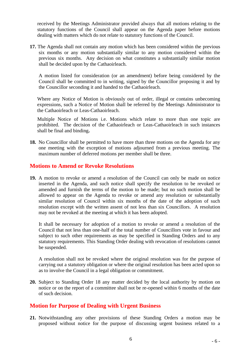received by the Meetings Administrator provided always that all motions relating to the statutory functions of the Council shall appear on the Agenda paper before motions dealing with matters which do not relate to statutory functions of the Council.

**17.** The Agenda shall not contain any motion which has been considered within the previous six months or any motion substantially similar to any motion considered within the previous six months. Any decision on what constitutes a substantially similar motion shall be decided upon by the Cathaoirleach.

A motion listed for consideration (or an amendment) before being considered by the Council shall be committed to in writing, signed by the Councillor proposing it and by the Councillor seconding it and handed to the Cathaoirleach.

Where any Notice of Motion is obviously out of order, illegal or contains unbecoming expressions, such a Notice of Motion shall be referred by the Meetings Administrator to the Cathaoirleach or Leas-Cathaoirleach.

Multiple Notice of Motions i.e. Motions which relate to more than one topic are prohibited. The decision of the Cathaoirleach or Leas-Cathaoirleach in such instances shall be final and binding**.**

**18.** No Councillor shall be permitted to have more than three motions on the Agenda for any one meeting with the exception of motions adjourned from a previous meeting. The maximum number of deferred motions per member shall be three.

#### **Motions to Amend or Revoke Resolutions**

**19.** A motion to revoke or amend a resolution of the Council can only be made on notice inserted in the Agenda, and such notice shall specify the resolution to be revoked or amended and furnish the terms of the motion to be made; but no such motion shall be allowed to appear on the Agenda to revoke or amend any resolution or substantially similar resolution of Council within six months of the date of the adoption of such resolution except with the written assent of not less than six Councillors. A resolution may not be revoked at the meeting at which it has been adopted.

It shall be necessary for adoption of a motion to revoke or amend a resolution of the Council that not less than one-half of the total number of Councillors vote in favour and subject to such other requirements as may be specified in Standing Orders and to any statutory requirements. This Standing Order dealing with revocation of resolutions cannot be suspended.

A resolution shall not be revoked where the original resolution was for the purpose of carrying out a statutory obligation or where the original resolution has been acted upon so as to involve the Council in a legal obligation or commitment.

**20.** Subject to Standing Order 18 any matter decided by the local authority by motion on notice or on the report of a committee shall not be re-opened within 6 months of the date of such decision.

#### **Motion for Purpose of Dealing with Urgent Business**

**21.** Notwithstanding any other provisions of these Standing Orders a motion may be proposed without notice for the purpose of discussing urgent business related to a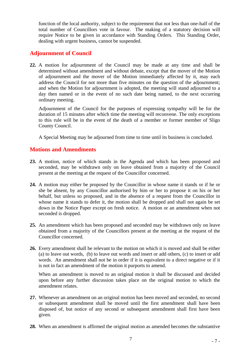function of the local authority, subject to the requirement that not less than one-half of the total number of Councillors vote in favour. The making of a statutory decision will require Notice to be given in accordance with Standing Orders. This Standing Order, dealing with urgent business, cannot be suspended.

#### **Adjournment of Council**

**22.** A motion for adjournment of the Council may be made at any time and shall be determined without amendment and without debate, except that the mover of the Motion of adjournment and the mover of the Motion immediately affected by it, may each address the Council for not more than five minutes on the question of the adjournment; and when the Motion for adjournment is adopted, the meeting will stand adjourned to a day then named or in the event of no such date being named, to the next occurring ordinary meeting.

Adjournment of the Council for the purposes of expressing sympathy will be for the duration of 15 minutes after which time the meeting will reconvene. The only exceptions to this rule will be in the event of the death of a member or former member of Sligo County Council.

A Special Meeting may be adjourned from time to time until its business is concluded.

#### **Motions and Amendments**

- **23.** A motion, notice of which stands in the Agenda and which has been proposed and seconded, may be withdrawn only on leave obtained from a majority of the Council present at the meeting at the request of the Councillor concerned.
- **24.** A motion may either be proposed by the Councillor in whose name it stands or if he or she be absent, by any Councillor authorised by him or her to propose it on his or her behalf, but unless so proposed, and in the absence of a request from the Councillor in whose name it stands to defer it, the motion shall be dropped and shall not again be set down in the Notice Paper except on fresh notice. A motion or an amendment when not seconded is dropped.
- **25.** An amendment which has been proposed and seconded may be withdrawn only on leave obtained from a majority of the Councillors present at the meeting at the request of the Councillor concerned.
- **26.** Every amendment shall be relevant to the motion on which it is moved and shall be either (a) to leave out words, (b) to leave out words and insert or add others, (c) to insert or add words. An amendment shall not be in order if it is equivalent to a direct negative or if it is not in fact an amendment of the motion it purports to amend.

When an amendment is moved to an original motion it shall be discussed and decided upon before any further discussion takes place on the original motion to which the amendment relates.

- **27.** Whenever an amendment on an original motion has been moved and seconded, no second or subsequent amendment shall be moved until the first amendment shall have been disposed of, but notice of any second or subsequent amendment shall first have been given.
- **28.** When an amendment is affirmed the original motion as amended becomes the substantive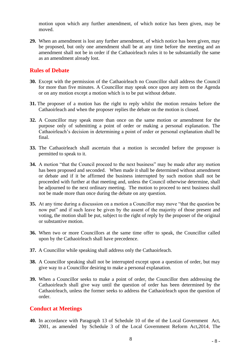motion upon which any further amendment, of which notice has been given, may be moved.

**29.** When an amendment is lost any further amendment, of which notice has been given, may be proposed, but only one amendment shall be at any time before the meeting and an amendment shall not be in order if the Cathaoirleach rules it to be substantially the same as an amendment already lost.

#### **Rules of Debate**

- **30.** Except with the permission of the Cathaoirleach no Councillor shall address the Council for more than five minutes. A Councillor may speak once upon any item on the Agenda or on any motion except a motion which is to be put without debate.
- **31.** The proposer of a motion has the right to reply whilst the motion remains before the Cathaoirleach and when the proposer replies the debate on the motion is closed.
- **32.** A Councillor may speak more than once on the same motion or amendment for the purpose only of submitting a point of order or making a personal explanation. The Cathaoirleach's decision in determining a point of order or personal explanation shall be final.
- **33.** The Cathaoirleach shall ascertain that a motion is seconded before the proposer is permitted to speak to it.
- **34.** A motion "that the Council proceed to the next business" may be made after any motion has been proposed and seconded. When made it shall be determined without amendment or debate and if it be affirmed the business interrupted by such motion shall not be proceeded with further at that meeting and, unless the Council otherwise determine, shall be adjourned to the next ordinary meeting. The motion to proceed to next business shall not be made more than once during the debate on any question.
- **35.** At any time during a discussion on a motion a Councillor may move "that the question be now put" and if such leave be given by the assent of the majority of those present and voting, the motion shall be put, subject to the right of reply by the proposer of the original or substantive motion.
- **36.** When two or more Councillors at the same time offer to speak, the Councillor called upon by the Cathaoirleach shall have precedence.
- **37.** A Councillor while speaking shall address only the Cathaoirleach.
- **38.** A Councillor speaking shall not be interrupted except upon a question of order, but may give way to a Councillor desiring to make a personal explanation.
- **39.** When a Councillor seeks to make a point of order, the Councillor then addressing the Cathaoirleach shall give way until the question of order has been determined by the Cathaoirleach, unless the former seeks to address the Cathaoirleach upon the question of order.

#### **Conduct at Meetings**

40. In accordance with Paragraph 13 of Schedule 10 of the of the Local Government Act, 2001, as amended by Schedule 3 of the Local Government Reform Act,2014, The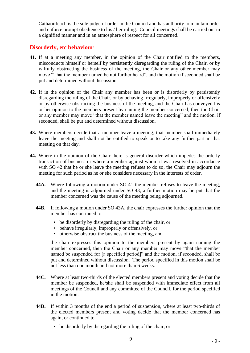Cathaoirleach is the sole judge of order in the Council and has authority to maintain order and enforce prompt obedience to his / her ruling. Council meetings shall be carried out in a dignified manner and in an atmosphere of respect for all concerned.

#### **Disorderly, etc behaviour**

- **41.** If at a meeting any member, in the opinion of the Chair notified to the members, misconducts himself or herself by persistently disregarding the ruling of the Chair, or by wilfully obstructing the business of the meeting, the Chair or any other member may move "That the member named be not further heard", and the motion if seconded shall be put and determined without discussion.
- **42.** If in the opinion of the Chair any member has been or is disorderly by persistently disregarding the ruling of the Chair, or by behaving irregularly, improperly or offensively or by otherwise obstructing the business of the meeting, and the Chair has conveyed his or her opinion to the members present by naming the member concerned, then the Chair or any member may move "that the member named leave the meeting" and the motion, if seconded, shall be put and determined without discussion.
- **43.** Where members decide that a member leave a meeting, that member shall immediately leave the meeting and shall not be entitled to speak or to take any further part in that meeting on that day.
- **44.** Where in the opinion of the Chair there is general disorder which impedes the orderly transaction of business or where a member against whom it was resolved in accordance with SO 42 that he or she leave the meeting refuses to do so, the Chair may adjourn the meeting for such period as he or she considers necessary in the interests of order.
	- **44A.** Where following a motion under SO 41 the member refuses to leave the meeting, and the meeting is adjourned under SO 43, a further motion may be put that the member concerned was the cause of the meeting being adjourned.
	- **44B**. If following a motion under SO 43A, the chair expresses the further opinion that the member has continued to
		- be disorderly by disregarding the ruling of the chair, or
		- behave irregularly, improperly or offensively, or
		- otherwise obstruct the business of the meeting, and

the chair expresses this opinion to the members present by again naming the member concerned, then the Chair or any member may move "that the member named be suspended for [a specified period]" and the motion, if seconded, shall be put and determined without discussion. The period specified in this motion shall be not less than one month and not more than 6 weeks.

- **44C.** Where at least two-thirds of the elected members present and voting decide that the member be suspended, he/she shall be suspended with immediate effect from all meetings of the Council and any committee of the Council, for the period specified in the motion.
- **44D.** If within 3 months of the end a period of suspension, where at least two-thirds of the elected members present and voting decide that the member concerned has again, or continued to
	- be disorderly by disregarding the ruling of the chair, or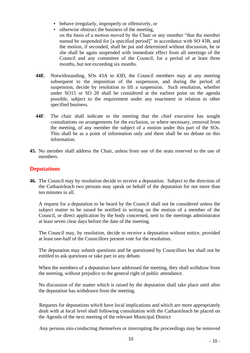- behave irregularly, improperly or offensively, or
- otherwise obstruct the business of the meeting,
- on the basis of a motion moved by the Chair or any member "that the member named be suspended for [a specified period]" in accordance with SO 43B, and the motion, if seconded, shall be put and determined without discussion, he or she shall be again suspended with immediate effect from all meetings of the Council and any committee of the Council, for a period of at least three months, but not exceeding six months.
- **44E**. Notwithstanding, SOs 43A to 43D, the Council members may at any meeting subsequent to the imposition of the suspension, and during the period of suspension, decide by resolution to lift a suspension. Such resolution, whether under SO15 or SO 20 shall be considered at the earliest point on the agenda possible, subject to the requirement under any enactment in relation to other specified business.
- **44F**. The chair shall indicate to the meeting that the chief executive has sought consultations on arrangements for the exclusion, or where necessary, removal from the meeting, of any member the subject of a motion under this part of the SOs. This shall be as a point of information only and there shall be no debate on this information.
- **45.** No member shall address the Chair, unless from one of the seats reserved to the use of members.

### **Deputations**

**46.** The Council may by resolution decide to receive a deputation. Subject to the direction of the Cathaoirleach two persons may speak on behalf of the deputation for not more than ten minutes in all.

A request for a deputation to be heard by the Council shall not be considered unless the subject matter to be raised be notified in writing on the motion of a member of the Council, or direct application by the body concerned, sent to the meetings administrator at least seven clear days before the date of the meeting.

The Council may, by resolution, decide to receive a deputation without notice, provided at least one-half of the Councillors present vote for the resolution.

The deputation may submit questions and be questioned by Councillors but shall not be entitled to ask questions or take part in any debate.

When the members of a deputation have addressed the meeting, they shall withdraw from the meeting, without prejudice to the general right of public attendance.

No discussion of the matter which is raised by the deputation shall take place until after the deputation has withdrawn from the meeting.

Requests for deputations which have local implications and which are more appropriately dealt with at local level shall following consultation with the Cathaoirleach be placed on the Agenda of the next meeting of the relevant Municipal District

Any persons mis-conducting themselves or interrupting the proceedings may be removed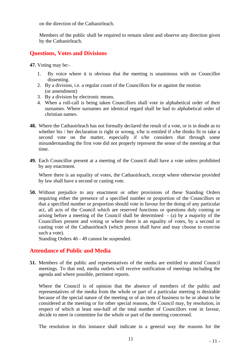on the direction of the Cathaoirleach.

Members of the public shall be required to remain silent and observe any direction given by the Cathaoirleach.

#### **Questions, Votes and Divisions**

**47.** Voting may be:-

- 1. By voice where it is obvious that the meeting is unanimous with no Councillor dissenting.
- 2. By a division, i.e. a regular count of the Councillors for or against the motion (or amendment)
- 3. By a division by electronic means.
- 4. When a roll-call is being taken Councillors shall vote in alphabetical order of their surnames. Where surnames are identical regard shall be had to alphabetical order of christian names.
- **48.** Where the Cathaoirleach has not formally declared the result of a vote, or is in doubt as to whether his / her declaration is right or wrong, s/he is entitled if s/he thinks fit to take a second vote on the matter, especially if s/he considers that through some misunderstanding the first vote did not properly represent the sense of the meeting at that time.
- **49.** Each Councillor present at a meeting of the Council shall have a vote unless prohibited by any enactment.

Where there is an equality of votes, the Cathaoirleach, except where otherwise provided by law shall have a second or casting vote.

**50.** Without prejudice to any enactment or other provisions of these Standing Orders requiring either the presence of a specified number or proportion of the Councillors or that a specified number or proportion should vote in favour for the doing of any particular act, all acts of the Council which are reserved functions or questions duly coming or arising before a meeting of the Council shall be determined - (a) by a majority of the Councillors present and voting or where there is an equality of votes, by a second or casting vote of the Cathaoirleach (which person shall have and may choose to exercise such a vote).

Standing Orders 46 - 49 cannot be suspended.

#### **Attendance of Public and Media**

**51.** Members of the public and representatives of the media are entitled to attend Council meetings. To that end, media outlets will receive notification of meetings including the agenda and where possible, pertinent reports.

Where the Council is of opinion that the absence of members of the public and representatives of the media from the whole or part of a particular meeting is desirable because of the special nature of the meeting or of an item of business to be or about to be considered at the meeting or for other special reasons, the Council may, by resolution, in respect of which at least one-half of the total number of Councillors vote in favour, decide to meet in committee for the whole or part of the meeting concerned.

The resolution in this instance shall indicate in a general way the reasons for the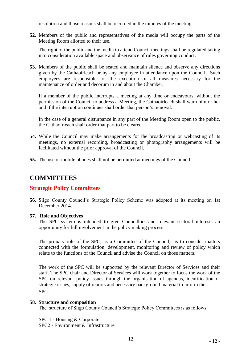resolution and those reasons shall be recorded in the minutes of the meeting.

**52.** Members of the public and representatives of the media will occupy the parts of the Meeting Room allotted to their use.

The right of the public and the media to attend Council meetings shall be regulated taking into consideration available space and observance of rules governing conduct.

**53.** Members of the public shall be seated and maintain silence and observe any directions given by the Cathaoirleach or by any employee in attendance upon the Council. Such employees are responsible for the execution of all measures necessary for the maintenance of order and decorum in and about the Chamber.

If a member of the public interrupts a meeting at any time or endeavours, without the permission of the Council to address a Meeting, the Cathaoirleach shall warn him or her and if the interruption continues shall order that person's removal.

In the case of a general disturbance in any part of the Meeting Room open to the public, the Cathaoirleach shall order that part to be cleared.

- **54.** While the Council may make arrangements for the broadcasting or webcasting of its meetings, no external recording, broadcasting or photography arrangements will be facilitated without the prior approval of the Council.
- **55.** The use of mobile phones shall not be permitted at meetings of the Council.

## **COMMITTEES**

#### **Strategic Policy Committees**

**56.** Sligo County Council's Strategic Policy Scheme was adopted at its meeting on 1st December 2014.

#### **57. Role and Objectives**

The SPC system is intended to give Councillors and relevant sectoral interests an opportunity for full involvement in the policy making process

The primary role of the SPC, as a Committee of the Council, is to consider matters connected with the formulation, development, monitoring and review of policy which relate to the functions of the Council and advise the Council on those matters.

The work of the SPC will be supported by the relevant Director of Services and their staff. The SPC chair and Director of Services will work together to focus the work of the SPC on relevant policy issues through the organisation of agendas, identification of strategic issues, supply of reports and necessary background material to inform the SPC.

#### **58. Structure and composition**

The structure of Sligo County Council's Strategic Policy Committees is as follows:

SPC 1 - Housing & Corporate

SPC2 - Environment & Infrastructure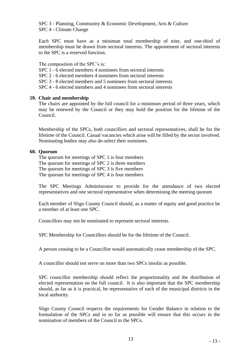SPC 3 - Planning, Community & Economic Development, Arts & Culture SPC 4 - Climate Change

Each SPC must have as a minimun total membership of nine, and one-third of membership must be drawn from sectoral interests. The appointment of sectoral interests to the SPC is a reserved function.

The composition of the SPC's is:

- SPC 1 6 elected members 4 nominees from sectoral interests
- SPC 2 6 elected members 4 nominees from sectoral interests
- SPC 3 8 elected members and 5 nominees from sectoral interests
- SPC 4 6 elected members and 4 nominees from sectoral interests

#### **59. Chair and membership**

The chairs are appointed by the full council for a minimum period of three years, which may be renewed by the Council or they may hold the position for the lifetime of the Council.

Membership of the SPCs, both councillors and sectoral representatives, shall be for the lifetime of the Council. Casual vacancies which arise will be filled by the sector involved. Nominating bodies may also de-select their nominees.

#### **60. Quorum**

The quorum for meetings of SPC 1 is four members The quorum for meetings of SPC 2 is three members The quorum for meetings of SPC 3 is five members The quorum for meetings of SPC 4 is four members

The SPC Meetings Administrator to provide for the attendance of two elected representatives and one sectoral representative when determining the meeting quorum

Each member of Sligo County Council should, as a matter of equity and good practice be a member of at least one SPC.

Councillors may not be nominated to represent sectoral interests.

SPC Membership for Councillors should be for the lifetime of the Council.

A person ceasing to be a Councillor would automatically cease membership of the SPC.

A councillor should not serve on more than two SPCs insofar as possible.

SPC councillor membership should reflect the proportionality and the distribution of elected representation on the full council. It is also important that the SPC membership should, as far as it is practical, be representative of each of the municipal districts in the local authority.

Sligo County Council respects the requirements for Gender Balance in relation to the formulation of the SPCs and in so far as possible will ensure that this occurs in the nomination of members of the Council to the SPCs.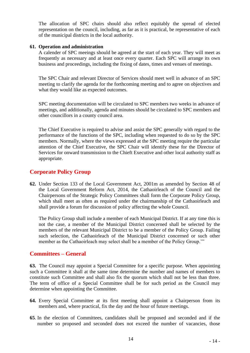The allocation of SPC chairs should also reflect equitably the spread of elected representation on the council, including, as far as it is practical, be representative of each of the municipal districts in the local authority.

#### **61. Operation and administration**

A calender of SPC meeings should be agreed at the start of each year. They will meet as frequently as necessary and at least once every quarter. Each SPC will arrange its own business and proceedings, including the fixing of dates, times and venues of meetings.

The SPC Chair and relevant Director of Services should meet well in advance of an SPC meeting to clarify the agenda for the forthcoming meeting and to agree on objectives and what they would like as expected outcomes.

SPC meeting documentation will be circulated to SPC members two weeks in advance of meetings, and additionally, agenda and minutes should be circulated to SPC members and other councillors in a county council area.

The Chief Executive is required to advise and assist the SPC generally with regard to the performance of the functions of the SPC, including when requested to do so by the SPC members. Normally, where the views expressed at the SPC meeting require the particular attention of the Chief Executive, the SPC Chair will identify these for the Director of Services for onward transmission to the Chieft Executive and other local authority staff as appropriate.

#### **Corporate Policy Group**

**62.** Under Section 133 of the Local Government Act, 2001m as amended by Section 48 of the Local Government Reform Act, 2014, the Cathaoirleach of the Council and the Chairpersons of the Strategic Policy Committees shall form the Corporate Policy Group, which shall meet as often as required under the chairmanship of the Cathaoirleach and shall provide a forum for discussion of policy affecting the whole Council.

The Policy Group shall include a member of each Municipal District. If at any time this is not the case, a member of the Municipal District concerned shall be selected by the members of the relevant Municipal District to be a member of the Policy Group. Failing such selection, the Cathaoirleach of the Municipal District concerned or such other member as the Cathaoirleach may select shall be a member of the Policy Group.'"

#### **Committees – General**

**63.** The Council may appoint a Special Committee for a specific purpose. When appointing such a Committee it shall at the same time determine the number and names of members to constitute such Committee and shall also fix the quorum which shall not be less than three. The term of office of a Special Committee shall be for such period as the Council may determine when appointing the Committee.

- **64.** Every Special Committee at its first meeting shall appoint a Chairperson from its members and, where practical, fix the day and the hour of future meetings.
- **65**. In the election of Committees, candidates shall be proposed and seconded and if the number so proposed and seconded does not exceed the number of vacancies, those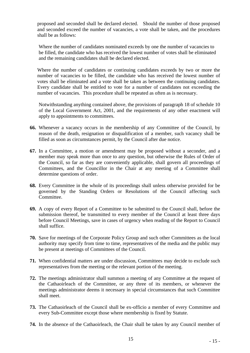proposed and seconded shall be declared elected. Should the number of those proposed and seconded exceed the number of vacancies, a vote shall be taken, and the procedures shall be as follows:

Where the number of candidates nominated exceeds by one the number of vacancies to be filled, the candidate who has received the lowest number of votes shall be eliminated and the remaining candidates shall be declared elected.

Where the number of candidates or continuing candidates exceeds by two or more the number of vacancies to be filled, the candidate who has received the lowest number of votes shall be eliminated and a vote shall be taken as between the continuing candidates. Every candidate shall be entitled to vote for a number of candidates not exceeding the number of vacancies. This procedure shall be repeated as often as is necessary.

Notwithstanding anything contained above, the provisions of paragraph 18 of schedule 10 of the Local Government Act, 2001, and the requirements of any other enactment will apply to appointments to committees.

- **66.** Whenever a vacancy occurs in the membership of any Committee of the Council, by reason of the death, resignation or disqualification of a member, such vacancy shall be filled as soon as circumstances permit, by the Council after due notice.
- **67.** In a Committee, a motion or amendment may be proposed without a seconder, and a member may speak more than once to any question, but otherwise the Rules of Order of the Council, so far as they are conveniently applicable, shall govern all proceedings of Committees, and the Councillor in the Chair at any meeting of a Committee shall determine questions of order.
- **68.** Every Committee in the whole of its proceedings shall unless otherwise provided for be governed by the Standing Orders or Resolutions of the Council affecting such Committee.
- **69.** A copy of every Report of a Committee to be submitted to the Council shall, before the submission thereof, be transmitted to every member of the Council at least three days before Council Meetings, save in cases of urgency when reading of the Report to Council shall suffice.
- **70.** Save for meetings of the Corporate Policy Group and such other Committees as the local authority may specify from time to time, representatives of the media and the public may be present at meetings of Committees of the Council.
- **71.** When confidential matters are under discussion, Committees may decide to exclude such representatives from the meeting or the relevant portion of the meeting.
- **72.** The meetings administrator shall summon a meeting of any Committee at the request of the Cathaoirleach of the Committee, or any three of its members, or whenever the meetings administrator deems it necessary in special circumstances that such Committee shall meet.
- **73.** The Cathaoirleach of the Council shall be ex-officio a member of every Committee and every Sub-Committee except those where membership is fixed by Statute.
- **74.** In the absence of the Cathaoirleach, the Chair shall be taken by any Council member of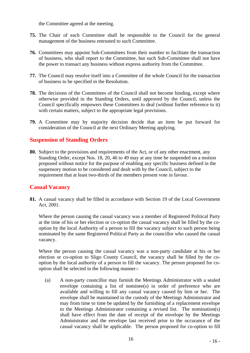the Committee agreed at the meeting.

- **75.** The Chair of each Committee shall be responsible to the Council for the general management of the business entrusted to such Committee.
- **76.** Committees may appoint Sub-Committees from their number to facilitate the transaction of business, who shall report to the Committee, but such Sub-Committee shall not have the power to transact any business without express authority from the Committee.
- **77.** The Council may resolve itself into a Committee of the whole Council for the transaction of business to be specified in the Resolution.
- **78.** The decisions of the Committees of the Council shall not become binding, except where otherwise provided in the Standing Orders, until approved by the Council, unless the Council specifically empowers these Committees to deal (without further reference to it) with certain matters, subject to the appropriate legal provisions.
- **79.** A Committee may by majority decision decide that an item be put forward for consideration of the Council at the next Ordinary Meeting applying.

#### **Suspension of Standing Orders**

**80.** Subject to the provisions and requirements of the Act, or of any other enactment, any Standing Order, except Nos. 18, 20, 46 to 49 may at any time be suspended on a motion proposed without notice for the purpose of enabling any specific business defined in the suspensory motion to be considered and dealt with by the Council, subject to the requirement that at least two-thirds of the members present vote in favour.

#### **Casual Vacancy**

**81.** A casual vacancy shall be filled in accordance with Section 19 of the Local Government Act, 2001.

Where the person causing the casual vacancy was a member of Registered Political Party at the time of his or her election or co-option the casual vacancy shall be filled by the cooption by the local Authority of a person to fill the vacancy subject to such person being nominated by the same Registered Political Party as the councillor who caused the casual vacancy.

Where the person causing the casual vacancy was a non-party candidate at his or her election or co-option to Sligo County Council, the vacancy shall be filled by the cooption by the local authority of a person to fill the vacancy. The person proposed for cooption shall be selected in the following manner:-

(a) A non-party councillor may furnish the Meetings Administrator with a sealed envelope containing a list of nominee(s) in order of preference who are available and willing to fill any casual vacancy caused by him or her. The envelope shall be maintained in the custody of the Meetings Administrator and may from time to time be updated by the furnishing of a replacement envelope to the Meetings Administrator containing a revised list. The nomination(s) shall have effect from the date of receipt of the envelope by the Meetings Administrator and the envelope last received prior to the occurance of the casual vacancy shall be applicable. The person proposed for co-option to fill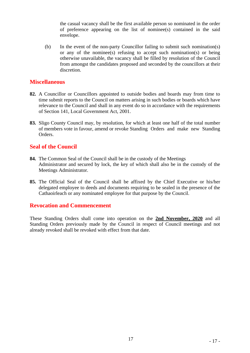the casual vacancy shall be the first available person so nominated in the order of preference appearing on the list of nominee(s) contained in the said envelope.

(b) In the event of the non-party Councillor failing to submit such nomination(s) or any of the nominee(s) refusing to accept such nomination(s) or being otherwise unavailable, the vacancy shall be filled by resolution of the Council from amongst the candidates proposed and seconded by the councillors at their discretion.

#### **Miscellaneous**

- **82.** A Councillor or Councillors appointed to outside bodies and boards may from time to time submit reports to the Council on matters arising in such bodies or boards which have relevance to the Council and shall in any event do so in accordance with the requirements of Section 141, Local Government Act, 2001.
- **83.** Sligo County Council may, by resolution, for which at least one half of the total number of members vote in favour, amend or revoke Standing Orders and make new Standing Orders.

#### **Seal of the Council**

- **84.** The Common Seal of the Council shall be in the custody of the Meetings Administrator and secured by lock, the key of which shall also be in the custody of the Meetings Administrator.
- **85.** The Official Seal of the Council shall be affixed by the Chief Executive or his/her delegated employee to deeds and documents requiring to be sealed in the presence of the Cathaoirleach or any nominated employee for that purpose by the Council.

#### **Revocation and Commencement**

These Standing Orders shall come into operation on the **2nd November, 2020** and all Standing Orders previously made by the Council in respect of Council meetings and not already revoked shall be revoked with effect from that date.